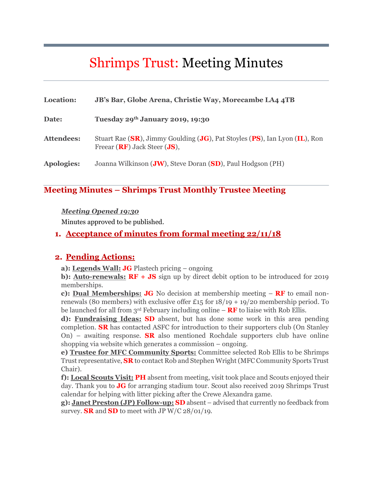# Shrimps Trust: Meeting Minutes

| <b>Location:</b>  | JB's Bar, Globe Arena, Christie Way, Morecambe LA4 4TB                                                         |
|-------------------|----------------------------------------------------------------------------------------------------------------|
| Date:             | Tuesday 29th January 2019, 19:30                                                                               |
| <b>Attendees:</b> | Stuart Rae (SR), Jimmy Goulding (JG), Pat Stoyles (PS), Ian Lyon (IL), Ron<br>Freear $(RF)$ Jack Steer $JS$ ), |
| <b>Apologies:</b> | Joanna Wilkinson ( <b>JW</b> ), Steve Doran (SD), Paul Hodgson (PH)                                            |

## **Meeting Minutes – Shrimps Trust Monthly Trustee Meeting**

#### *Meeting Opened 19:30*

Minutes approved to be published.

#### **1. Acceptance of minutes from formal meeting 22/11/18**

#### **2. Pending Actions:**

**a): Legends Wall: JG** Plastech pricing – ongoing

**b): Auto-renewals: RF + JS** sign up by direct debit option to be introduced for 2019 memberships.

**c): Dual Memberships: JG** No decision at membership meeting – **RF** to email nonrenewals (80 members) with exclusive offer £15 for  $18/19 + 19/20$  membership period. To be launched for all from  $3<sup>rd</sup>$  February including online – **RF** to liaise with Rob Ellis.

**d): Fundraising Ideas: SD** absent, but has done some work in this area pending completion. **SR** has contacted ASFC for introduction to their supporters club (On Stanley On) – awaiting response. **SR** also mentioned Rochdale supporters club have online shopping via website which generates a commission – ongoing.

**e) Trustee for MFC Community Sports:** Committee selected Rob Ellis to be Shrimps Trust representative, **SR** to contact Rob and Stephen Wright (MFC Community Sports Trust Chair).

**f): Local Scouts Visit: PH** absent from meeting, visit took place and Scouts enjoyed their day. Thank you to **JG** for arranging stadium tour. Scout also received 2019 Shrimps Trust calendar for helping with litter picking after the Crewe Alexandra game.

**g): Janet Preston (JP) Follow-up: SD** absent – advised that currently no feedback from survey. **SR** and **SD** to meet with JP W/C 28/01/19.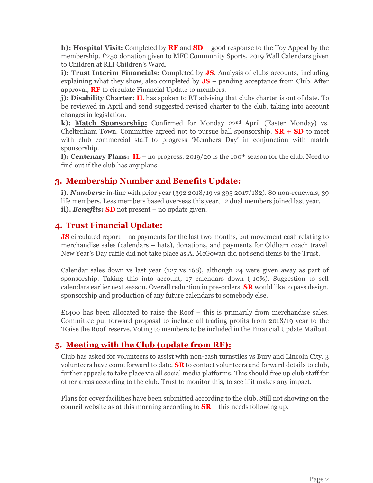**h): Hospital Visit:** Completed by **RF** and **SD** – good response to the Toy Appeal by the membership. £250 donation given to MFC Community Sports, 2019 Wall Calendars given to Children at RLI Children's Ward.

**i): Trust Interim Financials:** Completed by **JS**. Analysis of clubs accounts, including explaining what they show, also completed by **JS** – pending acceptance from Club. After approval, **RF** to circulate Financial Update to members.

**j): Disability Charter: IL** has spoken to RT advising that clubs charter is out of date. To be reviewed in April and send suggested revised charter to the club, taking into account changes in legislation.

**k): Match Sponsorship:** Confirmed for Monday 22nd April (Easter Monday) vs. Cheltenham Town. Committee agreed not to pursue ball sponsorship.  $\mathbf{SR} + \mathbf{SD}$  to meet with club commercial staff to progress 'Members Day' in conjunction with match sponsorship.

**l): Centenary Plans: IL** – no progress. 2019/20 is the 100<sup>th</sup> season for the club. Need to find out if the club has any plans.

## **3. Membership Number and Benefits Update:**

**i).** *Numbers:* in-line with prior year (392 2018/19 vs 395 2017/182). 80 non-renewals, 39 life members. Less members based overseas this year, 12 dual members joined last year. **ii).** *Benefits:* **SD** not present – no update given.

## **4. Trust Financial Update:**

**JS** circulated report – no payments for the last two months, but movement cash relating to merchandise sales (calendars + hats), donations, and payments for Oldham coach travel. New Year's Day raffle did not take place as A. McGowan did not send items to the Trust.

Calendar sales down vs last year (127 vs 168), although 24 were given away as part of sponsorship. Taking this into account, 17 calendars down (-10%). Suggestion to sell calendars earlier next season. Overall reduction in pre-orders. **SR** would like to pass design, sponsorship and production of any future calendars to somebody else.

 $£1400$  has been allocated to raise the Roof – this is primarily from merchandise sales. Committee put forward proposal to include all trading profits from 2018/19 year to the 'Raise the Roof' reserve. Voting to members to be included in the Financial Update Mailout.

## **5. Meeting with the Club (update from RF):**

Club has asked for volunteers to assist with non-cash turnstiles vs Bury and Lincoln City. 3 volunteers have come forward to date. **SR** to contact volunteers and forward details to club, further appeals to take place via all social media platforms. This should free up club staff for other areas according to the club. Trust to monitor this, to see if it makes any impact.

Plans for cover facilities have been submitted according to the club. Still not showing on the council website as at this morning according to **SR** – this needs following up.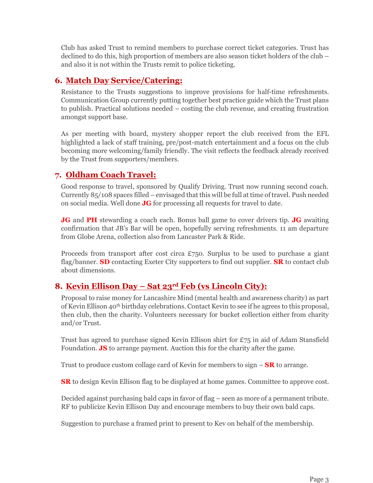Club has asked Trust to remind members to purchase correct ticket categories. Trust has declined to do this, high proportion of members are also season ticket holders of the club – and also it is not within the Trusts remit to police ticketing.

## **6. Match Day Service/Catering:**

Resistance to the Trusts suggestions to improve provisions for half-time refreshments. Communication Group currently putting together best practice guide which the Trust plans to publish. Practical solutions needed – costing the club revenue, and creating frustration amongst support base.

As per meeting with board, mystery shopper report the club received from the EFL highlighted a lack of staff training, pre/post-match entertainment and a focus on the club becoming more welcoming/family friendly. The visit reflects the feedback already received by the Trust from supporters/members.

#### **7. Oldham Coach Travel:**

Good response to travel, sponsored by Qualify Driving. Trust now running second coach. Currently 85/108 spaces filled – envisaged that this will be full at time of travel. Push needed on social media. Well done **JG** for processing all requests for travel to date.

**JG** and **PH** stewarding a coach each. Bonus ball game to cover drivers tip. **JG** awaiting confirmation that JB's Bar will be open, hopefully serving refreshments. 11 am departure from Globe Arena, collection also from Lancaster Park & Ride.

Proceeds from transport after cost circa  $E$ 750. Surplus to be used to purchase a giant flag/banner. **SD** contacting Exeter City supporters to find out supplier. **SR** to contact club about dimensions.

## **8. Kevin Ellison Day – Sat 23rd Feb (vs Lincoln City):**

Proposal to raise money for Lancashire Mind (mental health and awareness charity) as part of Kevin Ellison  $40^{\text{th}}$  birthday celebrations. Contact Kevin to see if he agrees to this proposal, then club, then the charity. Volunteers necessary for bucket collection either from charity and/or Trust.

Trust has agreed to purchase signed Kevin Ellison shirt for £75 in aid of Adam Stansfield Foundation. **JS** to arrange payment. Auction this for the charity after the game.

Trust to produce custom collage card of Kevin for members to sign – **SR** to arrange.

**SR** to design Kevin Ellison flag to be displayed at home games. Committee to approve cost.

Decided against purchasing bald caps in favor of flag – seen as more of a permanent tribute. RF to publicize Kevin Ellison Day and encourage members to buy their own bald caps.

Suggestion to purchase a framed print to present to Kev on behalf of the membership.